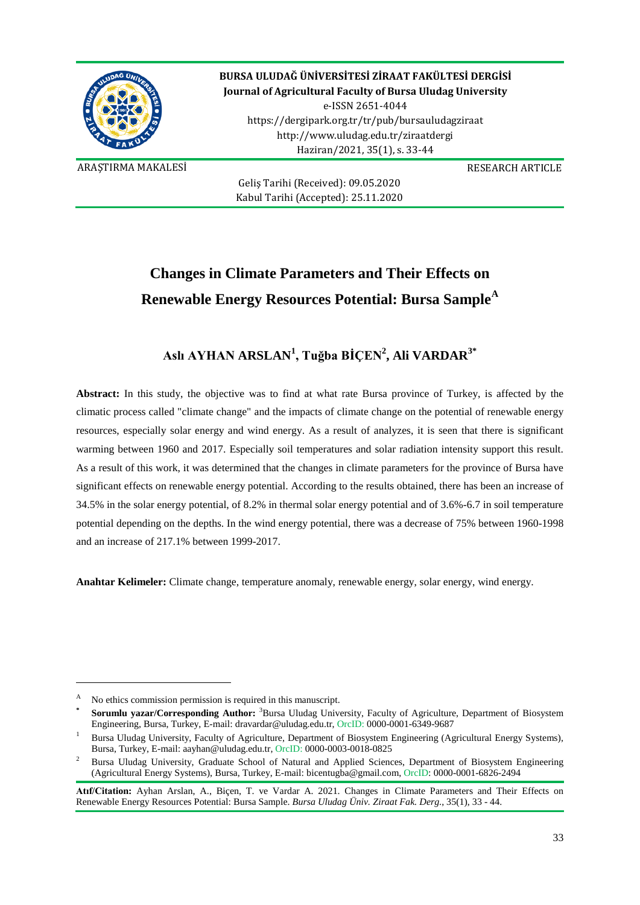

**BURSA ULUDAĞ ÜNİVERSİTESİ ZİRAAT FAKÜLTESİ DERGİSİ Journal of Agricultural Faculty of Bursa Uludag University** e-ISSN 2651-4044 https://dergipark.org.tr/tr/pub/bursauludagziraat http://www.uludag.edu.tr/ziraatdergi Haziran/2021, 35(1), s. 33-44

ARAŞTIRMA MAKALESİ RESEARCH ARTICLE

Geliş Tarihi (Received): 09.05.2020 Kabul Tarihi (Accepted): 25.11.2020

# **Changes in Climate Parameters and Their Effects on Renewable Energy Resources Potential: Bursa Sample[A](#page-0-0)**

### **Aslı AYHAN ARSLAN<sup>1</sup> , Tuğba BİÇEN<sup>2</sup> , Ali VARDAR3\***

**Abstract:** In this study, the objective was to find at what rate Bursa province of Turkey, is affected by the climatic process called "climate change" and the impacts of climate change on the potential of renewable energy resources, especially solar energy and wind energy. As a result of analyzes, it is seen that there is significant warming between 1960 and 2017. Especially soil temperatures and solar radiation intensity support this result. As a result of this work, it was determined that the changes in climate parameters for the province of Bursa have significant effects on renewable energy potential. According to the results obtained, there has been an increase of 34.5% in the solar energy potential, of 8.2% in thermal solar energy potential and of 3.6%-6.7 in soil temperature potential depending on the depths. In the wind energy potential, there was a decrease of 75% between 1960-1998 and an increase of 217.1% between 1999-2017.

**Anahtar Kelimeler:** Climate change, temperature anomaly, renewable energy, solar energy, wind energy.

-

<span id="page-0-0"></span><sup>A</sup> No ethics commission permission is required in this manuscript.

**<sup>\*</sup> Sorumlu yazar/Corresponding Author:** <sup>3</sup> Bursa Uludag University, Faculty of Agriculture, Department of Biosystem Engineering, Bursa, Turkey, E-mail: [dravardar@uludag.edu.tr,](mailto:dravardar@uludag.edu.tr) OrcID: 0000-0001-6349-9687

<sup>1</sup> Bursa Uludag University, Faculty of Agriculture, Department of Biosystem Engineering (Agricultural Energy Systems), Bursa, Turkey, E-mail: [aayhan@uludag.edu.tr,](mailto:aayhan@uludag.edu.tr) OrcID: 0000-0003-0018-0825

<sup>2</sup> Bursa Uludag University, Graduate School of Natural and Applied Sciences, Department of Biosystem Engineering (Agricultural Energy Systems), Bursa, Turkey, E-mail: [bicentugba@gmail.com,](mailto:bicentugba@gmail.com) OrcID: 0000-0001-6826-2494

**Atıf/Citation:** Ayhan Arslan, A., Biçen, T. ve Vardar A. 2021. Changes in Climate Parameters and Their Effects on Renewable Energy Resources Potential: Bursa Sample. *Bursa Uludag Üniv. Ziraat Fak. Derg*., 35(1), 33 - 44.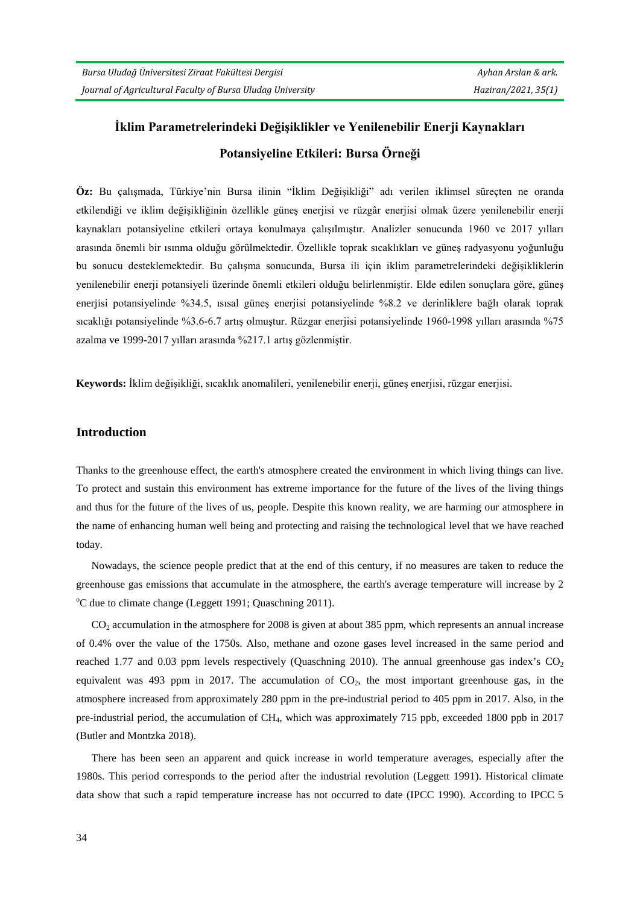## **İklim Parametrelerindeki Değişiklikler ve Yenilenebilir Enerji Kaynakları Potansiyeline Etkileri: Bursa Örneği**

**Öz:** Bu çalışmada, Türkiye'nin Bursa ilinin "İklim Değişikliği" adı verilen iklimsel süreçten ne oranda etkilendiği ve iklim değişikliğinin özellikle güneş enerjisi ve rüzgâr enerjisi olmak üzere yenilenebilir enerji kaynakları potansiyeline etkileri ortaya konulmaya çalışılmıştır. Analizler sonucunda 1960 ve 2017 yılları arasında önemli bir ısınma olduğu görülmektedir. Özellikle toprak sıcaklıkları ve güneş radyasyonu yoğunluğu bu sonucu desteklemektedir. Bu çalışma sonucunda, Bursa ili için iklim parametrelerindeki değişikliklerin yenilenebilir enerji potansiyeli üzerinde önemli etkileri olduğu belirlenmiştir. Elde edilen sonuçlara göre, güneş enerjisi potansiyelinde %34.5, ısısal güneş enerjisi potansiyelinde %8.2 ve derinliklere bağlı olarak toprak sıcaklığı potansiyelinde %3.6-6.7 artış olmuştur. Rüzgar enerjisi potansiyelinde 1960-1998 yılları arasında %75 azalma ve 1999-2017 yılları arasında %217.1 artış gözlenmiştir.

**Keywords:** İklim değişikliği, sıcaklık anomalileri, yenilenebilir enerji, güneş enerjisi, rüzgar enerjisi.

#### **Introduction**

Thanks to the greenhouse effect, the earth's atmosphere created the environment in which living things can live. To protect and sustain this environment has extreme importance for the future of the lives of the living things and thus for the future of the lives of us, people. Despite this known reality, we are harming our atmosphere in the name of enhancing human well being and protecting and raising the technological level that we have reached today.

Nowadays, the science people predict that at the end of this century, if no measures are taken to reduce the greenhouse gas emissions that accumulate in the atmosphere, the earth's average temperature will increase by 2 <sup>o</sup>C due to climate change (Leggett 1991; Quaschning 2011).

 $CO<sub>2</sub>$  accumulation in the atmosphere for 2008 is given at about 385 ppm, which represents an annual increase of 0.4% over the value of the 1750s. Also, methane and ozone gases level increased in the same period and reached 1.77 and 0.03 ppm levels respectively (Quaschning 2010). The annual greenhouse gas index's  $CO<sub>2</sub>$ equivalent was 493 ppm in 2017. The accumulation of  $CO<sub>2</sub>$ , the most important greenhouse gas, in the atmosphere increased from approximately 280 ppm in the pre-industrial period to 405 ppm in 2017. Also, in the pre-industrial period, the accumulation of CH4, which was approximately 715 ppb, exceeded 1800 ppb in 2017 (Butler and Montzka 2018).

There has been seen an apparent and quick increase in world temperature averages, especially after the 1980s. This period corresponds to the period after the industrial revolution (Leggett 1991). Historical climate data show that such a rapid temperature increase has not occurred to date (IPCC 1990). According to IPCC 5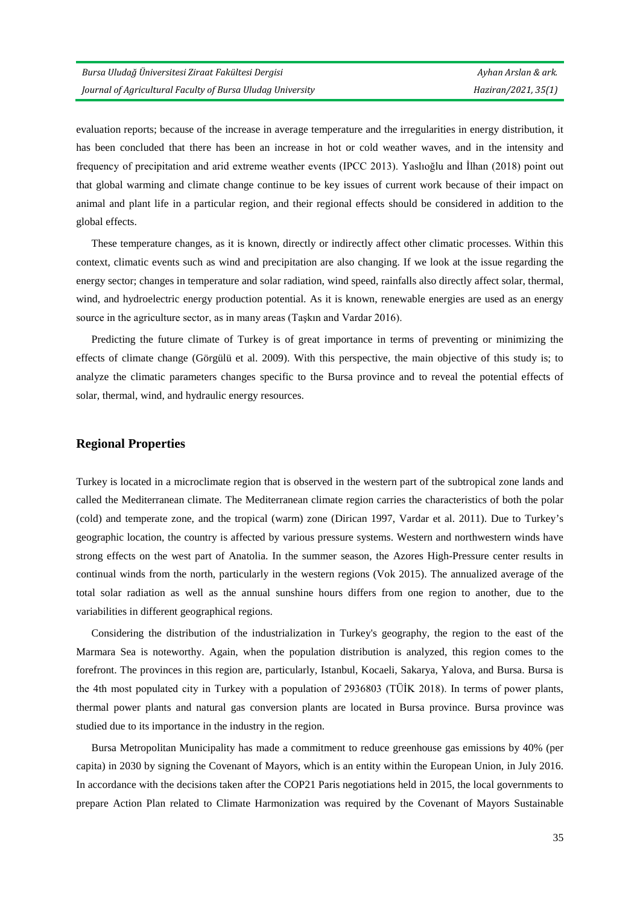evaluation reports; because of the increase in average temperature and the irregularities in energy distribution, it has been concluded that there has been an increase in hot or cold weather waves, and in the intensity and frequency of precipitation and arid extreme weather events (IPCC 2013). Yaslıoğlu and İlhan (2018) point out that global warming and climate change continue to be key issues of current work because of their impact on animal and plant life in a particular region, and their regional effects should be considered in addition to the global effects.

These temperature changes, as it is known, directly or indirectly affect other climatic processes. Within this context, climatic events such as wind and precipitation are also changing. If we look at the issue regarding the energy sector; changes in temperature and solar radiation, wind speed, rainfalls also directly affect solar, thermal, wind, and hydroelectric energy production potential. As it is known, renewable energies are used as an energy source in the agriculture sector, as in many areas (Taşkın and Vardar 2016).

Predicting the future climate of Turkey is of great importance in terms of preventing or minimizing the effects of climate change (Görgülü et al. 2009). With this perspective, the main objective of this study is; to analyze the climatic parameters changes specific to the Bursa province and to reveal the potential effects of solar, thermal, wind, and hydraulic energy resources.

#### **Regional Properties**

Turkey is located in a microclimate region that is observed in the western part of the subtropical zone lands and called the Mediterranean climate. The Mediterranean climate region carries the characteristics of both the polar (cold) and temperate zone, and the tropical (warm) zone (Dirican 1997, Vardar et al. 2011). Due to Turkey's geographic location, the country is affected by various pressure systems. Western and northwestern winds have strong effects on the west part of Anatolia. In the summer season, the Azores High-Pressure center results in continual winds from the north, particularly in the western regions (Vok 2015). The annualized average of the total solar radiation as well as the annual sunshine hours differs from one region to another, due to the variabilities in different geographical regions.

Considering the distribution of the industrialization in Turkey's geography, the region to the east of the Marmara Sea is noteworthy. Again, when the population distribution is analyzed, this region comes to the forefront. The provinces in this region are, particularly, Istanbul, Kocaeli, Sakarya, Yalova, and Bursa. Bursa is the 4th most populated city in Turkey with a population of 2936803 (TÜİK 2018). In terms of power plants, thermal power plants and natural gas conversion plants are located in Bursa province. Bursa province was studied due to its importance in the industry in the region.

Bursa Metropolitan Municipality has made a commitment to reduce greenhouse gas emissions by 40% (per capita) in 2030 by signing the Covenant of Mayors, which is an entity within the European Union, in July 2016. In accordance with the decisions taken after the COP21 Paris negotiations held in 2015, the local governments to prepare Action Plan related to Climate Harmonization was required by the Covenant of Mayors Sustainable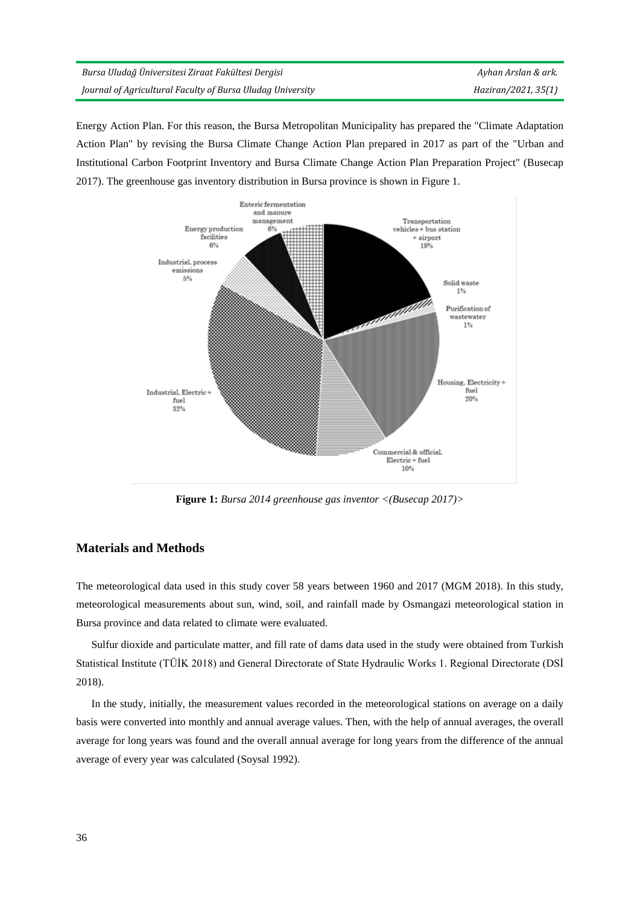| Bursa Uludağ Üniversitesi Ziraat Fakültesi Dergisi         | Ayhan Arslan & ark. |
|------------------------------------------------------------|---------------------|
| Journal of Agricultural Faculty of Bursa Uludag University | Haziran/2021, 35(1) |

Energy Action Plan. For this reason, the Bursa Metropolitan Municipality has prepared the "Climate Adaptation Action Plan" by revising the Bursa Climate Change Action Plan prepared in 2017 as part of the "Urban and Institutional Carbon Footprint Inventory and Bursa Climate Change Action Plan Preparation Project" (Busecap 2017). The greenhouse gas inventory distribution in Bursa province is shown in Figure 1.



**Figure 1:** *Bursa 2014 greenhouse gas inventor <(Busecap 2017)>*

#### **Materials and Methods**

The meteorological data used in this study cover 58 years between 1960 and 2017 (MGM 2018). In this study, meteorological measurements about sun, wind, soil, and rainfall made by Osmangazi meteorological station in Bursa province and data related to climate were evaluated.

Sulfur dioxide and particulate matter, and fill rate of dams data used in the study were obtained from Turkish Statistical Institute (TÜİK 2018) and General Directorate of State Hydraulic Works 1. Regional Directorate (DSİ 2018).

In the study, initially, the measurement values recorded in the meteorological stations on average on a daily basis were converted into monthly and annual average values. Then, with the help of annual averages, the overall average for long years was found and the overall annual average for long years from the difference of the annual average of every year was calculated (Soysal 1992).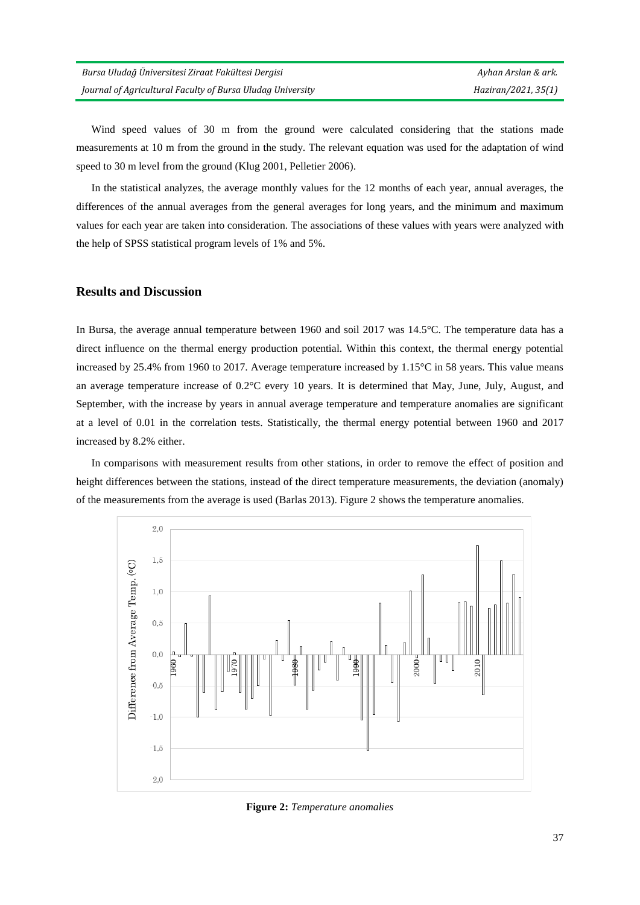Wind speed values of 30 m from the ground were calculated considering that the stations made measurements at 10 m from the ground in the study. The relevant equation was used for the adaptation of wind speed to 30 m level from the ground (Klug 2001, Pelletier 2006).

In the statistical analyzes, the average monthly values for the 12 months of each year, annual averages, the differences of the annual averages from the general averages for long years, and the minimum and maximum values for each year are taken into consideration. The associations of these values with years were analyzed with the help of SPSS statistical program levels of 1% and 5%.

#### **Results and Discussion**

In Bursa, the average annual temperature between 1960 and soil 2017 was 14.5°C. The temperature data has a direct influence on the thermal energy production potential. Within this context, the thermal energy potential increased by 25.4% from 1960 to 2017. Average temperature increased by 1.15°C in 58 years. This value means an average temperature increase of 0.2°C every 10 years. It is determined that May, June, July, August, and September, with the increase by years in annual average temperature and temperature anomalies are significant at a level of 0.01 in the correlation tests. Statistically, the thermal energy potential between 1960 and 2017 increased by 8.2% either.

In comparisons with measurement results from other stations, in order to remove the effect of position and height differences between the stations, instead of the direct temperature measurements, the deviation (anomaly) of the measurements from the average is used (Barlas 2013). Figure 2 shows the temperature anomalies.



**Figure 2:** *Temperature anomalies*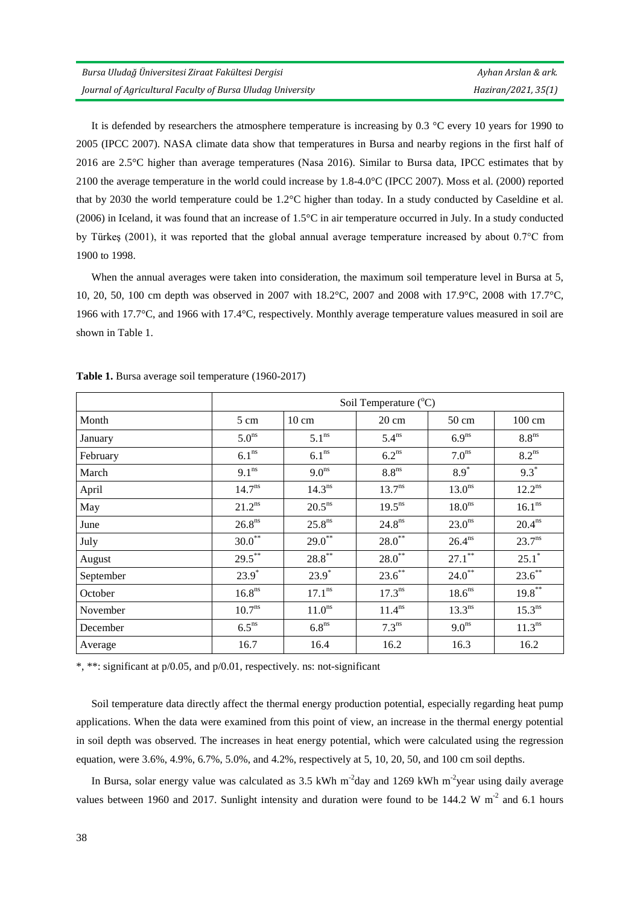It is defended by researchers the atmosphere temperature is increasing by 0.3 °C every 10 years for 1990 to 2005 (IPCC 2007). NASA climate data show that temperatures in Bursa and nearby regions in the first half of 2016 are 2.5°C higher than average temperatures (Nasa 2016). Similar to Bursa data, IPCC estimates that by 2100 the average temperature in the world could increase by 1.8-4.0°C (IPCC 2007). Moss et al. (2000) reported that by 2030 the world temperature could be 1.2°C higher than today. In a study conducted by Caseldine et al. (2006) in Iceland, it was found that an increase of 1.5°C in air temperature occurred in July. In a study conducted by Türkeş (2001), it was reported that the global annual average temperature increased by about 0.7°C from 1900 to 1998.

When the annual averages were taken into consideration, the maximum soil temperature level in Bursa at 5, 10, 20, 50, 100 cm depth was observed in 2007 with 18.2°C, 2007 and 2008 with 17.9°C, 2008 with 17.7°C, 1966 with 17.7°C, and 1966 with 17.4°C, respectively. Monthly average temperature values measured in soil are shown in Table 1.

|           | Soil Temperature $(^{\circ}C)$ |                    |                    |                    |                     |
|-----------|--------------------------------|--------------------|--------------------|--------------------|---------------------|
| Month     | 5 cm                           | $10 \text{ cm}$    | $20 \text{ cm}$    | $50 \text{ cm}$    | $100 \text{ cm}$    |
| January   | 5.0 <sup>ns</sup>              | 5.1 <sup>ns</sup>  | 5.4 <sup>ns</sup>  | 6.9 <sup>ns</sup>  | 8.8 <sup>ns</sup>   |
| February  | 6.1 <sup>ns</sup>              | 6.1 <sup>ns</sup>  | 6.2 <sup>ns</sup>  | 7.0 <sup>ns</sup>  | $8.2$ <sup>ns</sup> |
| March     | 9.1 <sup>ns</sup>              | 9.0 <sup>ns</sup>  | 8.8 <sup>ns</sup>  | $8.9*$             | $9.3*$              |
| April     | 14.7 <sup>ns</sup>             | 14.3 <sup>ns</sup> | $13.7^{ns}$        | 13.0 <sup>ns</sup> | $12.2^{ns}$         |
| May       | $21.2^{ns}$                    | 20.5 <sup>ns</sup> | 19.5 <sup>ns</sup> | 18.0 <sup>ns</sup> | 16.1 <sup>ns</sup>  |
| June      | $26.8^{ns}$                    | $25.8^{ns}$        | $24.8^{ns}$        | 23.0 <sup>ns</sup> | $20.4^{ns}$         |
| July      | $30.0^{**}$                    | $29.0^*$           | $28.0^{**}$        | $26.4^{ns}$        | $23.7^{ns}$         |
| August    | $29.5***$                      | $28.8***$          | $28.0^{**}$        | $27.1***$          | $25.1^*$            |
| September | $23.9*$                        | $23.9*$            | $23.6$ **          | $24.0^*$           | $23.6$ **           |
| October   | 16.8 <sup>ns</sup>             | 17.1 <sup>ns</sup> | 17.3 <sup>ns</sup> | 18.6 <sup>ns</sup> | $19.8***$           |
| November  | 10.7 <sup>ns</sup>             | 11.0 <sup>ns</sup> | $11.4^{ns}$        | 13.3 <sup>ns</sup> | $15.3^{ns}$         |
| December  | 6.5 <sup>ns</sup>              | 6.8 <sup>ns</sup>  | 7.3 <sup>ns</sup>  | 9.0 <sup>ns</sup>  | $11.3^{ns}$         |
| Average   | 16.7                           | 16.4               | 16.2               | 16.3               | 16.2                |

**Table 1.** Bursa average soil temperature (1960-2017)

\*, \*\*: significant at p/0.05, and p/0.01, respectively. ns: not-significant

Soil temperature data directly affect the thermal energy production potential, especially regarding heat pump applications. When the data were examined from this point of view, an increase in the thermal energy potential in soil depth was observed. The increases in heat energy potential, which were calculated using the regression equation, were 3.6%, 4.9%, 6.7%, 5.0%, and 4.2%, respectively at 5, 10, 20, 50, and 100 cm soil depths.

In Bursa, solar energy value was calculated as  $3.5 \text{ kWh} \text{ m}^2$ day and  $1269 \text{ kWh} \text{ m}^2$ year using daily average values between 1960 and 2017. Sunlight intensity and duration were found to be 144.2 W  $m<sup>-2</sup>$  and 6.1 hours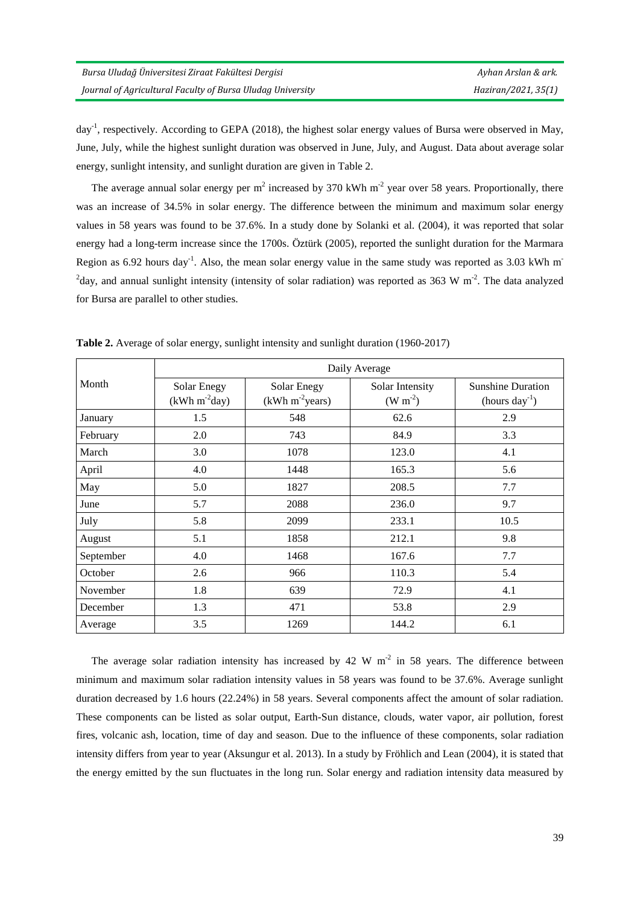day<sup>-1</sup>, respectively. According to GEPA (2018), the highest solar energy values of Bursa were observed in May, June, July, while the highest sunlight duration was observed in June, July, and August. Data about average solar energy, sunlight intensity, and sunlight duration are given in Table 2.

The average annual solar energy per  $m^2$  increased by 370 kWh  $m^2$  year over 58 years. Proportionally, there was an increase of 34.5% in solar energy. The difference between the minimum and maximum solar energy values in 58 years was found to be 37.6%. In a study done by Solanki et al. (2004), it was reported that solar energy had a long-term increase since the 1700s. Öztürk (2005), reported the sunlight duration for the Marmara Region as 6.92 hours day<sup>-1</sup>. Also, the mean solar energy value in the same study was reported as 3.03 kWh m<sup>-</sup> <sup>2</sup>day, and annual sunlight intensity (intensity of solar radiation) was reported as 363 W m<sup>-2</sup>. The data analyzed for Bursa are parallel to other studies.

|           |                               | Daily Average                             |                              |                                             |  |  |
|-----------|-------------------------------|-------------------------------------------|------------------------------|---------------------------------------------|--|--|
| Month     | Solar Enegy<br>$(kWh m-2day)$ | Solar Enegy<br>(kWh m <sup>2</sup> years) | Solar Intensity<br>$(W m-2)$ | <b>Sunshine Duration</b><br>$(hours day-1)$ |  |  |
| January   | 1.5                           | 548                                       | 62.6                         | 2.9                                         |  |  |
| February  | 2.0                           | 743                                       | 84.9                         | 3.3                                         |  |  |
| March     | 3.0                           | 1078                                      | 123.0                        | 4.1                                         |  |  |
| April     | 4.0                           | 1448                                      | 165.3                        | 5.6                                         |  |  |
| May       | 5.0                           | 1827                                      | 208.5                        | 7.7                                         |  |  |
| June      | 5.7                           | 2088                                      | 236.0                        | 9.7                                         |  |  |
| July      | 5.8                           | 2099                                      | 233.1                        | 10.5                                        |  |  |
| August    | 5.1                           | 1858                                      | 212.1                        | 9.8                                         |  |  |
| September | 4.0                           | 1468                                      | 167.6                        | 7.7                                         |  |  |
| October   | 2.6                           | 966                                       | 110.3                        | 5.4                                         |  |  |
| November  | 1.8                           | 639                                       | 72.9                         | 4.1                                         |  |  |
| December  | 1.3                           | 471                                       | 53.8                         | 2.9                                         |  |  |
| Average   | 3.5                           | 1269                                      | 144.2                        | 6.1                                         |  |  |

**Table 2.** Average of solar energy, sunlight intensity and sunlight duration (1960-2017)

The average solar radiation intensity has increased by 42 W  $m<sup>-2</sup>$  in 58 years. The difference between minimum and maximum solar radiation intensity values in 58 years was found to be 37.6%. Average sunlight duration decreased by 1.6 hours (22.24%) in 58 years. Several components affect the amount of solar radiation. These components can be listed as solar output, Earth-Sun distance, clouds, water vapor, air pollution, forest fires, volcanic ash, location, time of day and season. Due to the influence of these components, solar radiation intensity differs from year to year (Aksungur et al. 2013). In a study by Fröhlich and Lean (2004), it is stated that the energy emitted by the sun fluctuates in the long run. Solar energy and radiation intensity data measured by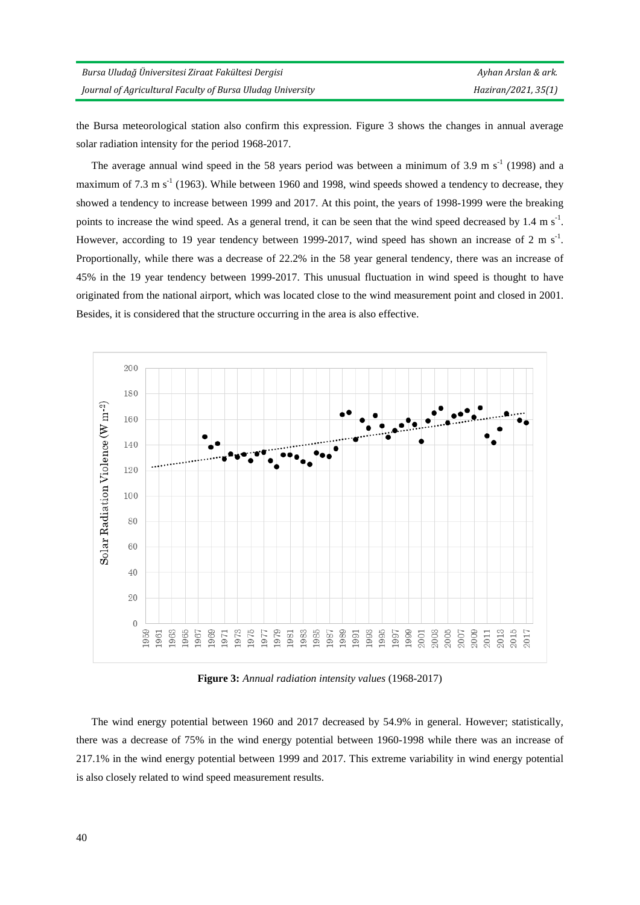the Bursa meteorological station also confirm this expression. Figure 3 shows the changes in annual average solar radiation intensity for the period 1968-2017.

The average annual wind speed in the 58 years period was between a minimum of 3.9 m  $s^{-1}$  (1998) and a maximum of 7.3 m  $s^{-1}$  (1963). While between 1960 and 1998, wind speeds showed a tendency to decrease, they showed a tendency to increase between 1999 and 2017. At this point, the years of 1998-1999 were the breaking points to increase the wind speed. As a general trend, it can be seen that the wind speed decreased by  $1.4 \text{ m s}^{-1}$ . However, according to 19 year tendency between 1999-2017, wind speed has shown an increase of 2 m  $s<sup>-1</sup>$ . Proportionally, while there was a decrease of 22.2% in the 58 year general tendency, there was an increase of 45% in the 19 year tendency between 1999-2017. This unusual fluctuation in wind speed is thought to have originated from the national airport, which was located close to the wind measurement point and closed in 2001. Besides, it is considered that the structure occurring in the area is also effective.



**Figure 3:** *Annual radiation intensity values* (1968-2017)

The wind energy potential between 1960 and 2017 decreased by 54.9% in general. However; statistically, there was a decrease of 75% in the wind energy potential between 1960-1998 while there was an increase of 217.1% in the wind energy potential between 1999 and 2017. This extreme variability in wind energy potential is also closely related to wind speed measurement results.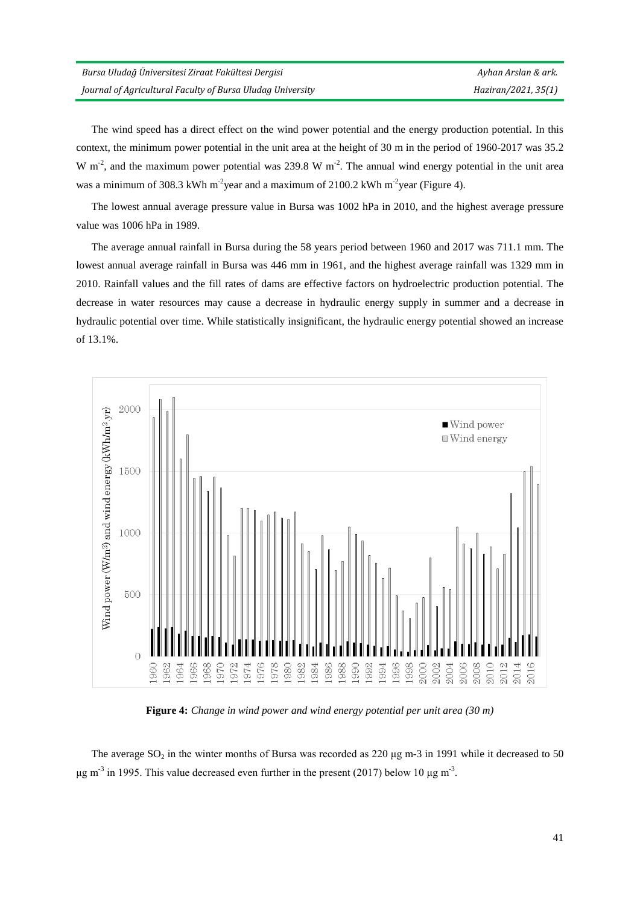The wind speed has a direct effect on the wind power potential and the energy production potential. In this context, the minimum power potential in the unit area at the height of 30 m in the period of 1960-2017 was 35.2 W m<sup>-2</sup>, and the maximum power potential was 239.8 W m<sup>-2</sup>. The annual wind energy potential in the unit area was a minimum of 308.3 kWh m<sup>-2</sup>year and a maximum of 2100.2 kWh m<sup>-2</sup>year (Figure 4).

The lowest annual average pressure value in Bursa was 1002 hPa in 2010, and the highest average pressure value was 1006 hPa in 1989.

The average annual rainfall in Bursa during the 58 years period between 1960 and 2017 was 711.1 mm. The lowest annual average rainfall in Bursa was 446 mm in 1961, and the highest average rainfall was 1329 mm in 2010. Rainfall values and the fill rates of dams are effective factors on hydroelectric production potential. The decrease in water resources may cause a decrease in hydraulic energy supply in summer and a decrease in hydraulic potential over time. While statistically insignificant, the hydraulic energy potential showed an increase of 13.1%.



**Figure 4:** *Change in wind power and wind energy potential per unit area (30 m)*

The average  $SO_2$  in the winter months of Bursa was recorded as 220  $\mu$ g m-3 in 1991 while it decreased to 50 μg m<sup>-3</sup> in 1995. This value decreased even further in the present (2017) below 10 μg m<sup>-3</sup>.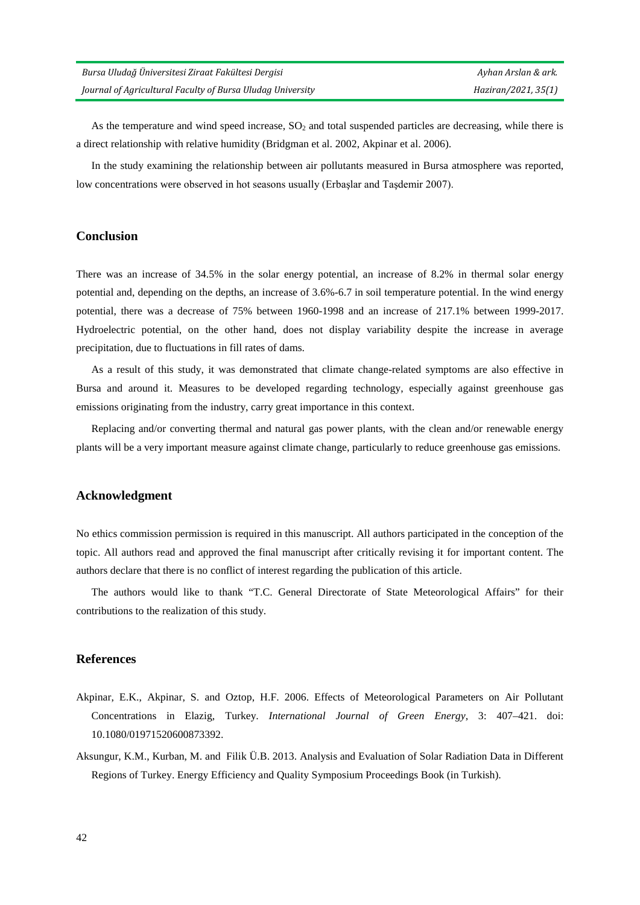As the temperature and wind speed increase,  $SO<sub>2</sub>$  and total suspended particles are decreasing, while there is a direct relationship with relative humidity (Bridgman et al. 2002, Akpinar et al. 2006).

In the study examining the relationship between air pollutants measured in Bursa atmosphere was reported, low concentrations were observed in hot seasons usually (Erbaslar and Tasdemir 2007).

#### **Conclusion**

There was an increase of 34.5% in the solar energy potential, an increase of 8.2% in thermal solar energy potential and, depending on the depths, an increase of 3.6%-6.7 in soil temperature potential. In the wind energy potential, there was a decrease of 75% between 1960-1998 and an increase of 217.1% between 1999-2017. Hydroelectric potential, on the other hand, does not display variability despite the increase in average precipitation, due to fluctuations in fill rates of dams.

As a result of this study, it was demonstrated that climate change-related symptoms are also effective in Bursa and around it. Measures to be developed regarding technology, especially against greenhouse gas emissions originating from the industry, carry great importance in this context.

Replacing and/or converting thermal and natural gas power plants, with the clean and/or renewable energy plants will be a very important measure against climate change, particularly to reduce greenhouse gas emissions.

#### **Acknowledgment**

No ethics commission permission is required in this manuscript. All authors participated in the conception of the topic. All authors read and approved the final manuscript after critically revising it for important content. The authors declare that there is no conflict of interest regarding the publication of this article.

The authors would like to thank "T.C. General Directorate of State Meteorological Affairs" for their contributions to the realization of this study.

#### **References**

- Akpinar, E.K., Akpinar, S. and Oztop, H.F. 2006. Effects of Meteorological Parameters on Air Pollutant Concentrations in Elazig, Turkey. *International Journal of Green Energy*, 3: 407–421. doi: 10.1080/01971520600873392.
- Aksungur, K.M., Kurban, M. and Filik Ü.B. 2013. Analysis and Evaluation of Solar Radiation Data in Different Regions of Turkey. Energy Efficiency and Quality Symposium Proceedings Book (in Turkish).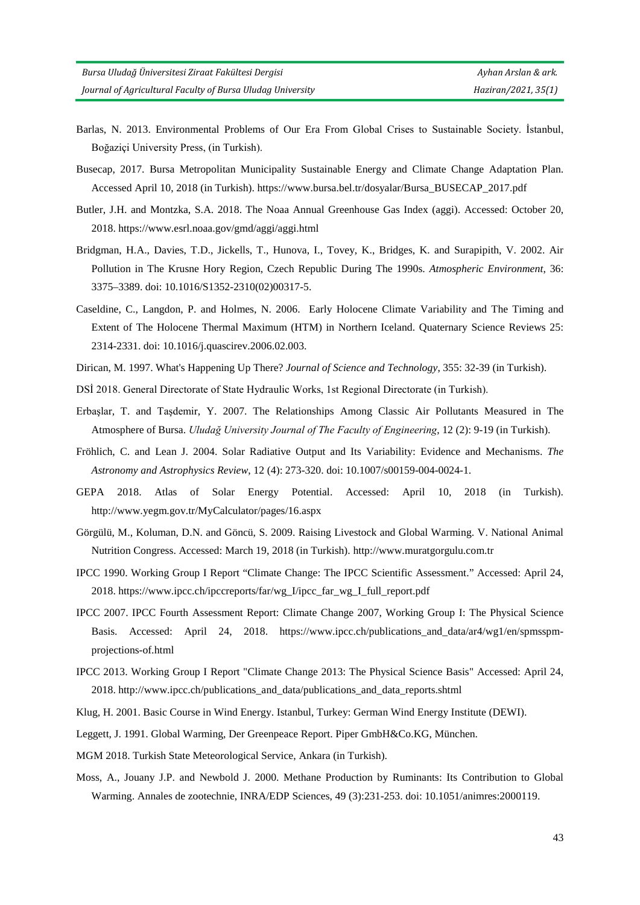- Barlas, N. 2013. Environmental Problems of Our Era From Global Crises to Sustainable Society. İstanbul, Boğaziçi University Press, (in Turkish).
- Busecap, 2017. Bursa Metropolitan Municipality Sustainable Energy and Climate Change Adaptation Plan. Accessed April 10, 2018 (in Turkish). [https://www.bursa.bel.tr/dosyalar/Bursa\\_BUSECAP\\_2017.pdf](https://www.bursa.bel.tr/dosyalar/Bursa_BUSECAP_2017.pdf)
- Butler, J.H. and Montzka, S.A. 2018. The Noaa Annual Greenhouse Gas Index (aggi). Accessed: October 20, 2018. https://www.esrl.noaa.gov/gmd/aggi/aggi.html
- Bridgman, H.A., Davies, T.D., Jickells, T., Hunova, I., Tovey, K., Bridges, K. and Surapipith, V. 2002. Air Pollution in The Krusne Hory Region, Czech Republic During The 1990s. *Atmospheric Environment*, 36: 3375–3389. doi: 10.1016/S1352-2310(02)00317-5.
- Caseldine, C., Langdon, P. and Holmes, N. 2006. Early Holocene Climate Variability and The Timing and Extent of The Holocene Thermal Maximum (HTM) in Northern Iceland. Quaternary Science Reviews 25: 2314-2331. doi: 10.1016/j.quascirev.2006.02.003.
- Dirican, M. 1997. What's Happening Up There? *Journal of Science and Technology*, 355: 32-39 (in Turkish).
- DSİ 2018. General Directorate of State Hydraulic Works, 1st Regional Directorate (in Turkish).
- Erbaşlar, T. and Taşdemir, Y. 2007. The Relationships Among Classic Air Pollutants Measured in The Atmosphere of Bursa. *Uludağ University Journal of The Faculty of Engineering*, 12 (2): 9-19 (in Turkish).
- Fröhlich, C. and Lean J. 2004. Solar Radiative Output and Its Variability: Evidence and Mechanisms. *The Astronomy and Astrophysics Review*, 12 (4): 273-320. doi: 10.1007/s00159-004-0024-1.
- GEPA 2018. Atlas of Solar Energy Potential. Accessed: April 10, 2018 (in Turkish). <http://www.yegm.gov.tr/MyCalculator/pages/16.aspx>
- Görgülü, M., Koluman, D.N. and Göncü, S. 2009. Raising Livestock and Global Warming. V. National Animal Nutrition Congress. Accessed: March 19, 2018 (in Turkish)[. http://www.muratgorgulu.com.tr](http://www.ruminantbesleme.com/hayvancilik-kuresel-isinma/)
- IPCC 1990. Working Group I Report "Climate Change: The IPCC Scientific Assessment." Accessed: April 24, 2018. https://www.ipcc.ch/ipccreports/far/wg\_I/ipcc\_far\_wg\_I\_full\_report.pdf
- IPCC 2007. IPCC Fourth Assessment Report: Climate Change 2007, Working Group I: The Physical Science Basis. Accessed: April 24, 2018. https://www.ipcc.ch/publications\_and\_data/ar4/wg1/en/spmsspmprojections-of.html
- IPCC 2013. Working Group I Report "Climate Change 2013: The Physical Science Basis" Accessed: April 24, 2018. http://www.ipcc.ch/publications\_and\_data/publications\_and\_data\_reports.shtml
- Klug, H. 2001. Basic Course in Wind Energy. Istanbul, Turkey: German Wind Energy Institute (DEWI).
- Leggett, J. 1991. Global Warming, Der Greenpeace Report. Piper GmbH&Co.KG, München.
- MGM 2018. Turkish State Meteorological Service, Ankara (in Turkish).
- Moss, A., Jouany J.P. and Newbold J. 2000. Methane Production by Ruminants: Its Contribution to Global Warming. Annales de zootechnie, INRA/EDP Sciences, 49 (3):231-253. doi: 10.1051/animres:2000119.